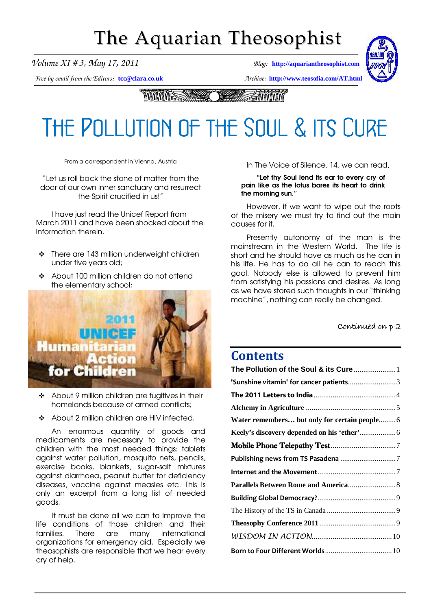## The Aquarian Theosophist

*Volume XI # 3, May 17, 2011 Blog:* **[http://aquariantheosophist.com](http://aquariantheosophist.com/)**

*Free by email from the Editors:* **[tcc@clara.co.uk](mailto:tcc@clara.co.uk)** *Archive:* **<http://www.teosofia.com/AT.html>**



# THE POLLUTION OF THE SOUL & ITS CURE

From a correspondent in Vienna, Austria

"Let us roll back the stone of matter from the door of our own inner sanctuary and resurrect the Spirit crucified in us!"

I have just read the Unicef Report from March 2011 and have been shocked about the information therein.

- ❖ There are 143 million underweight children under five years old;
- \* About 100 million children do not attend the elementary school;



- ❖ About 9 million children are fugitives in their homelands because of armed conflicts;
- ◆ About 2 million children are HIV infected.

An enormous quantity of goods and medicaments are necessary to provide the children with the most needed things: tablets against water pollution, mosquito nets, pencils, exercise books, blankets, sugar-salt mixtures against diarrhoea, peanut butter for deficiency diseases, vaccine against measles etc. This is only an excerpt from a long list of needed goods.

It must be done all we can to improve the life conditions of those children and their families. There are many international organizations for emergency aid. Especially we theosophists are responsible that we hear every cry of help.

In The Voice of Silence, 14, we can read,

"Let thy Soul lend its ear to every cry of pain like as the lotus bares its heart to drink the morning sun."

However, if we want to wipe out the roots of the misery we must try to find out the main causes for it.

Presently autonomy of the man is the mainstream in the Western World. The life is short and he should have as much as he can in his life. He has to do all he can to reach this goal. Nobody else is allowed to prevent him from satisfying his passions and desires. As long as we have stored such thoughts in our "thinking machine", nothing can really be changed.

Continued on p 2

## **Contents**

| 'Sunshine vitamin' for cancer patients3      |  |
|----------------------------------------------|--|
|                                              |  |
|                                              |  |
| Water remembers but only for certain people6 |  |
|                                              |  |
|                                              |  |
|                                              |  |
|                                              |  |
|                                              |  |
|                                              |  |
|                                              |  |
|                                              |  |
|                                              |  |
|                                              |  |
|                                              |  |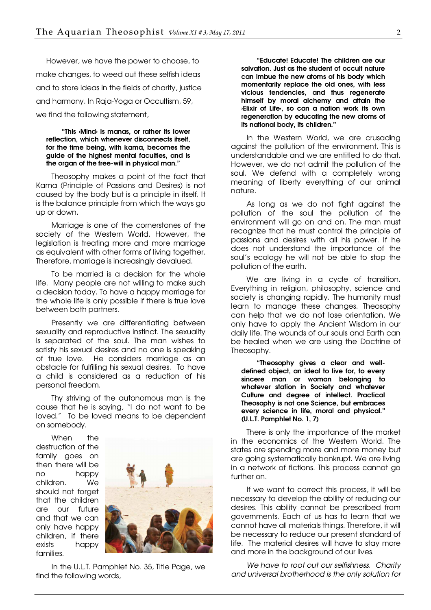However, we have the power to choose, to make changes, to weed out these selfish ideas and to store ideas in the fields of charity, justice and harmony. In Raja-Yoga or Occultism, 59, we find the following statement,

#### "This ‹Mind› is manas, or rather its lower reflection, which whenever disconnects itself, for the time being, with kama, becomes the guide of the highest mental faculties, and is the organ of the free-will in physical man."

Theosophy makes a point of the fact that Kama (Principle of Passions and Desires) is not caused by the body but is a principle in itself. It is the balance principle from which the ways go up or down.

Marriage is one of the cornerstones of the society of the Western World. However, the legislation is treating more and more marriage as equivalent with other forms of living together. Therefore, marriage is increasingly devalued.

To be married is a decision for the whole life. Many people are not willing to make such a decision today. To have a happy marriage for the whole life is only possible if there is true love between both partners.

Presently we are differentiating between sexuality and reproductive instinct. The sexuality is separated of the soul. The man wishes to satisfy his sexual desires and no one is speaking of true love. He considers marriage as an obstacle for fulfilling his sexual desires. To have a child is considered as a reduction of his personal freedom.

Thy striving of the autonomous man is the cause that he is saying, "I do not want to be loved." To be loved means to be dependent on somebody.

When the destruction of the family goes on then there will be no happy children. We should not forget that the children are our future and that we can only have happy children, if there exists happy families.



In the U.L.T. Pamphlet No. 35, Title Page, we find the following words,

"Educate! Educate! The children are our salvation. Just as the student of occult nature can imbue the new atoms of his body which momentarily replace the old ones, with less vicious tendencies, and thus regenerate himself by moral alchemy and attain the ›Elixir of Life‹, so can a nation work its own regeneration by educating the new atoms of its national body, its children."

In the Western World, we are crusading against the pollution of the environment. This is understandable and we are entitled to do that. However, we do not admit the pollution of the soul. We defend with a completely wrong meaning of liberty everything of our animal nature.

As long as we do not fight against the pollution of the soul the pollution of the environment will go on and on. The man must recognize that he must control the principle of passions and desires with all his power. If he does not understand the importance of the soul's ecology he will not be able to stop the pollution of the earth.

We are living in a cycle of transition. Everything in religion, philosophy, science and society is changing rapidly. The humanity must learn to manage these changes. Theosophy can help that we do not lose orientation. We only have to apply the Ancient Wisdom in our daily life. The wounds of our souls and Earth can be healed when we are using the Doctrine of Theosophy.

"Theosophy gives a clear and welldefined object, an ideal to live for, to every sincere man or woman belonging to whatever station in Society and whatever Culture and degree of intellect. Practical Theosophy is not one Science, but embraces every science in life, moral and physical." (U.L.T. Pamphlet No. 1, 7)

There is only the importance of the market in the economics of the Western World. The states are spending more and more money but are going systematically bankrupt. We are living in a network of fictions. This process cannot go further on.

If we want to correct this process, it will be necessary to develop the ability of reducing our desires. This ability cannot be prescribed from governments. Each of us has to learn that we cannot have all materials things. Therefore, it will be necessary to reduce our present standard of life. The material desires will have to stay more and more in the background of our lives.

We have to root out our selfishness. Charity and universal brotherhood is the only solution for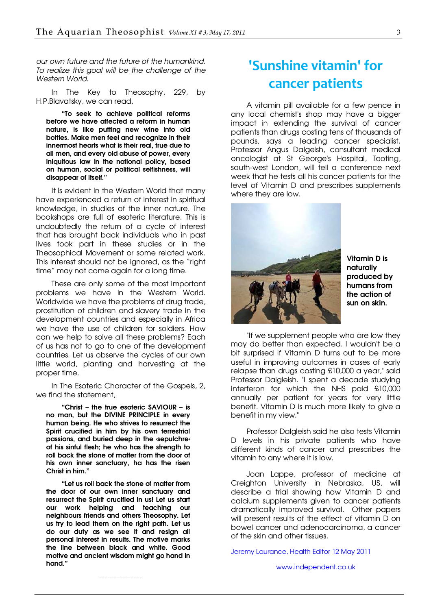<span id="page-2-0"></span>our own future and the future of the humankind. To realize this goal will be the challenge of the Western World.

In The Key to Theosophy, 229, by H.P.Blavatsky, we can read,

"To seek to achieve political reforms before we have affected a reform in human nature, is like putting new wine into old bottles. Make men feel and recognize in their innermost hearts what is their real, true due to all men, and every old abuse of power, every iniquitous law in the national policy, based on human, social or political selfishness, will disappear of itself."

It is evident in the Western World that many have experienced a return of interest in spiritual knowledge, in studies of the inner nature. The bookshops are full of esoteric literature. This is undoubtedly the return of a cycle of interest that has brought back individuals who in past lives took part in these studies or in the Theosophical Movement or some related work. This interest should not be ignored, as the "right time" may not come again for a long time.

These are only some of the most important problems we have in the Western World. Worldwide we have the problems of drug trade, prostitution of children and slavery trade in the development countries and especially in Africa we have the use of children for soldiers. How can we help to solve all these problems? Each of us has not to go to one of the development countries. Let us observe the cycles of our own little world, planting and harvesting at the proper time.

In The Esoteric Character of the Gospels, 2, we find the statement,

"Christ – the true esoteric SAVIOUR – is no man, but the DIVINE PRINCIPLE in every human being. He who strives to resurrect the Spirit crucified in him by his own terrestrial passions, and buried deep in the ‹sepulchre› of his sinful flesh; he who has the strength to roll back the stone of matter from the door of his own inner sanctuary, ha has the risen Christ in him."

"Let us roll back the stone of matter from the door of our own inner sanctuary and resurrect the Spirit crucified in us! Let us start our work helping and teaching our neighbours friends and others Theosophy. Let us try to lead them on the right path. Let us do our duty as we see it and resign all personal interest in results. The motive marks the line between black and white. Good motive and ancient wisdom might go hand in hand."

\_\_\_\_\_\_\_\_\_\_\_\_\_\_\_

## 'Sunshine vitamin' for cancer patients

A vitamin pill available for a few pence in any local chemist's shop may have a bigger impact in extending the survival of cancer patients than drugs costing tens of thousands of pounds, says a leading cancer specialist. Professor Angus Dalgeish, consultant medical oncologist at St George's Hospital, Tooting, south-west London, will tell a conference next week that he tests all his cancer patients for the level of Vitamin D and prescribes supplements where they are low.



Vitamin D is naturally produced by humans from the action of sun on skin.

"If we supplement people who are low they may do better than expected. I wouldn't be a bit surprised if Vitamin D turns out to be more useful in improving outcomes in cases of early relapse than drugs costing £10,000 a year," said Professor Dalgleish. "I spent a decade studying interferon for which the NHS paid £10,000 annually per patient for years for very little benefit. Vitamin D is much more likely to give a benefit in my view."

Professor Dalgleish said he also tests Vitamin D levels in his private patients who have different kinds of cancer and prescribes the vitamin to any where it is low.

Joan Lappe, professor of medicine at Creighton University in Nebraska, US, will describe a trial showing how Vitamin D and calcium supplements given to cancer patients dramatically improved survival. Other papers will present results of the effect of vitamin D on bowel cancer and adenocarcinoma, a cancer of the skin and other tissues.

[Jeremy Laurance, Health Editor 12 May 2011](http://www.independent.co.uk/life-style/health-and-families/health-news/sunshine-vitamin-pills-may-extend-lives-of-cancer-patients-2282680.html?action=Popup)

[www.independent.co.uk](http://www.independent.co.uk/)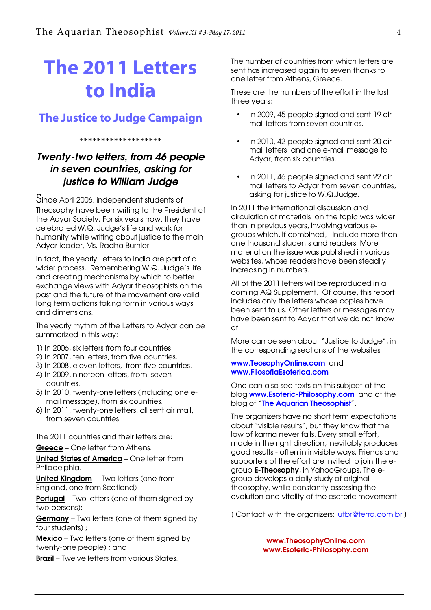## <span id="page-3-0"></span>The 2011 Letters to India

## The Justice to Judge Campaign

#### \*\*\*\*\*\*\*\*\*\*\*\*\*\*\*\*\*\*\*

## Twenty-two letters, from 46 people in seven countries, asking for justice to William Judge

Since April 2006, independent students of Theosophy have been writing to the President of the Adyar Society. For six years now, they have celebrated W.Q. Judge's life and work for humanity while writing about justice to the main Adyar leader, Ms. Radha Burnier.

In fact, the yearly Letters to India are part of a wider process. Remembering W.Q. Judge's life and creating mechanisms by which to better exchange views with Adyar theosophists on the past and the future of the movement are valid long term actions taking form in various ways and dimensions.

The yearly rhythm of the Letters to Adyar can be summarized in this way:

- 1) In 2006, six letters from four countries.
- 2) In 2007, ten letters, from five countries.
- 3) In 2008, eleven letters, from five countries.
- 4) In 2009, nineteen letters, from seven countries.
- 5) In 2010, twenty-one letters (including one email message), from six countries.
- 6) In 2011, twenty-one letters, all sent air mail, from seven countries.

The 2011 countries and their letters are:

Greece – One letter from Athens.

United States of America - One letter from Philadelphia.

United Kingdom - Two letters (one from England, one from Scotland)

Portugal – Two letters (one of them signed by two persons);

**Germany** – Two letters (one of them signed by four students) ;

Mexico – Two letters (one of them signed by twenty-one people) ; and

**Brazil** – Twelve letters from various States.

The number of countries from which letters are sent has increased again to seven thanks to one letter from Athens, Greece.

These are the numbers of the effort in the last three years:

- In 2009, 45 people signed and sent 19 air mail letters from seven countries.
- In 2010, 42 people signed and sent 20 air mail letters and one e-mail message to Adyar, from six countries.
- In 2011, 46 people signed and sent 22 air mail letters to Adyar from seven countries, asking for justice to W.Q.Judge.

In 2011 the international discussion and circulation of materials on the topic was wider than in previous years, involving various egroups which, if combined, include more than one thousand students and readers. More material on the issue was published in various websites, whose readers have been steadily increasing in numbers.

All of the 2011 letters will be reproduced in a coming AQ Supplement. Of course, this report includes only the letters whose copies have been sent to us. Other letters or messages may have been sent to Adyar that we do not know of.

More can be seen about "Justice to Judge", in the corresponding sections of the websites

#### [www.TeosophyOnline.com](http://www.teosophyonline.com/) and [www.FilosofiaEsoterica.com](http://www.filosofiaesoterica.com/)

One can also see texts on this subject at the blog [www.Esoteric-Philosophy.com](http://www.esoteric-philosophy.com/) and at the blog of "[The Aquarian Theosophist](http://aquariantheosophist.com/)".

The organizers have no short term expectations about "visible results", but they know that the law of karma never fails. Every small effort, made in the right direction, inevitably produces good results - often in invisible ways. Friends and supporters of the effort are invited to join the egroup E-Theosophy, in YahooGroups. The egroup develops a daily study of original theosophy, while constantly assessing the evolution and vitality of the esoteric movement.

( Contact with the organizers: lutbr@terra.com.br)

#### [www.TheosophyOnline.com](http://www.theosophyonline.com/) [www.Esoteric-Philosophy.com](http://www.esoteric-philosophy.com/)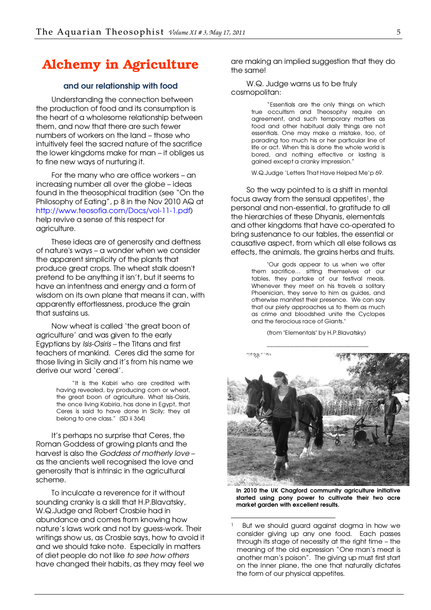## <span id="page-4-0"></span>Alchemy in Agriculture

#### and our relationship with food

Understanding the connection between the production of food and its consumption is the heart of a wholesome relationship between them, and now that there are such fewer numbers of workers on the land – those who intuitively feel the sacred nature of the sacrifice the lower kingdoms make for man – it obliges us to fine new ways of nurturing it.

For the many who are office workers – an increasing number all over the globe – ideas found in the theosophical tradition (see "On the Philosophy of Eating", p 8 in the Nov 2010 AQ at [http://www.teosofia.com/Docs/vol-11-1.pdf\)](http://www.teosofia.com/Docs/vol-11-1.pdf)  help revive a sense of this respect for agriculture.

These ideas are of generosity and deftness of nature's ways – a wonder when we consider the apparent simplicity of the plants that produce great crops. The wheat stalk doesn't pretend to be anything it isn't, but it seems to have an intentness and energy and a form of wisdom on its own plane that means it can, with apparently effortlessness, produce the grain that sustains us.

Now wheat is called 'the great boon of agriculture' and was given to the early Egyptians by Isis-Osiris – the Titans and first teachers of mankind. Ceres did the same for those living in Sicily and it's from his name we derive our word 'cereal'.

> "It is the Kabiri who are credited with having revealed, by producing corn or wheat, the great boon of agriculture. What Isis-Osiris, the once living Kabiria, has done in Egypt, that Ceres is said to have done in Sicily; they all belong to one class." (SD ii 364)

It's perhaps no surprise that Ceres, the Roman Goddess of growing plants and the harvest is also the Goddess of motherly love – as the ancients well recognised the love and generosity that is intrinsic in the agricultural scheme.

To inculcate a reverence for it without sounding cranky is a skill that H.P.Blavatsky, W.Q.Judge and Robert Crosbie had in abundance and comes from knowing how nature's laws work and not by guess-work. Their writings show us, as Crosbie says, how to avoid it and we should take note. Especially in matters of diet people do not like to see how others have changed their habits, as they may feel we

are making an implied suggestion that they do the same!

W.Q. Judge warns us to be truly cosmopolitan:

> "Essentials are the only things on which true occultism and Theosophy require an agreement, and such temporary matters as food and other habitual daily things are not essentials. One may make a mistake, too, of parading too much his or her particular line of life or act. When this is done the whole world is bored, and nothing effective or lasting is gained except a cranky impression."

W.Q.Judge 'Letters That Have Helped Me'p 69.

So the way pointed to is a shift in mental focus away from the sensual appetites<sup>1</sup>, the personal and non-essential, to gratitude to all the hierarchies of these Dhyanis, elementals and other kingdoms that have co-operated to bring sustenance to our tables, the essential or causative aspect, from which all else follows as effects, the animals, the grains herbs and fruits.

> "Our gods appear to us when we offer them sacrifice… sitting themselves at our tables, they partake of our festival meals. Whenever they meet on his travels a solitary Phoenician, they serve to him as guides, and otherwise manifest their presence. We can say that our piety approaches us to them as much as crime and bloodshed unite the Cyclopes and the ferocious race of Giants."

> > (from "Elementals" by H.P.Blavatsky)



In 2010 the UK Chagford community agriculture initiative started using pony power to cultivate their two acre market garden with excellent results.

-

But we should guard against dogma in how we consider giving up any one food. Each passes through its stage of necessity at the right time – the meaning of the old expression "One man's meat is another man's poison". The giving up must first start on the inner plane, the one that naturally dictates the form of our physical appetites.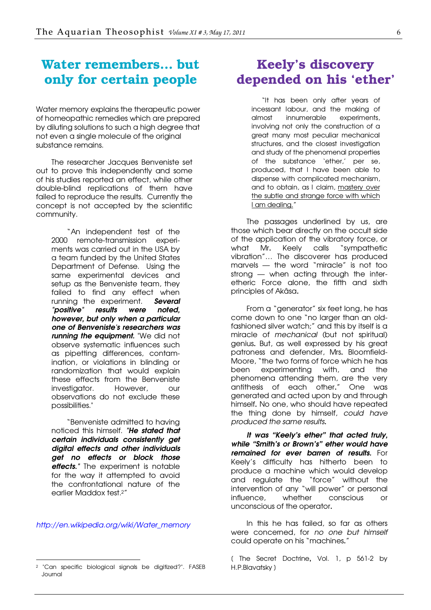## <span id="page-5-0"></span>Water remembers… but only for certain people

Water memory explains the therapeutic power of homeopathic remedies which are prepared by diluting solutions to such a high degree that not even a single molecule of the original substance remains.

The researcher Jacques Benveniste set out to prove this independently and some of his studies reported an effect, while other double-blind replications of them have failed to reproduce the results. Currently the concept is not accepted by the scientific community.

"An independent test of the 2000 remote-transmission experiments was carried out in the USA by a team funded by the United States Department of Defense. Using the same experimental devices and setup as the Benveniste team, they failed to find any effect when running the experiment. Several "positive" results were noted, however, but only when a particular one of Benveniste's researchers was running the equipment. "We did not observe systematic influences such as pipetting differences, contamination, or violations in blinding or randomization that would explain these effects from the Benveniste investigator. However, our observations do not exclude these possibilities."

"Benveniste admitted to having noticed this himself. "He stated that certain individuals consistently get digital effects and other individuals get no effects or block those effects." The experiment is notable for the way it attempted to avoid the confrontational nature of the earlier Maddox test.2"

[http://en.wikipedia.org/wiki/Water\\_memory](http://en.wikipedia.org/wiki/Water_memory)

-

## Keely's discovery depended on his 'ether'

"It has been only after years of incessant labour, and the making of almost innumerable experiments, involving not only the construction of a great many most peculiar mechanical structures, and the closest investigation and study of the phenomenal properties of the substance 'ether,' per se, produced, that I have been able to dispense with complicated mechanism, and to obtain, as I claim, mastery over the subtle and strange force with which I am dealing."

The passages underlined by us, are those which bear directly on the occult side of the application of the vibratory force, or what Mr. Keely calls "sympathetic vibration"… The discoverer has produced marvels — the word "miracle" is not too strong — when acting through the interetheric Force alone, the fifth and sixth principles of Akâsa.

From a "generator" six feet long, he has come down to one "no larger than an oldfashioned silver watch;" and this by itself is a miracle of mechanical (but not spiritual) genius. But, as well expressed by his great patroness and defender, Mrs. Bloomfield-Moore, "the two forms of force which he has been experimenting with, and the phenomena attending them, are the very antithesis of each other." One was generated and acted upon by and through himself. No one, who should have repeated the thing done by himself, could have produced the same results.

It was "Keely's ether" that acted truly, while "Smith's or Brown's" ether would have remained for ever barren of results. For Keely's difficulty has hitherto been to produce a machine which would develop and regulate the "force" without the intervention of any "will power" or personal influence, whether conscious or unconscious of the operator.

In this he has failed, so far as others were concerned, for no one but himself could operate on his "machines."

[ The Secret Doctrine, Vol. 1, p 561-2 by H.P.Blavatsky ]

<sup>&</sup>quot;Can specific biological signals be digitized?". FASEB Journal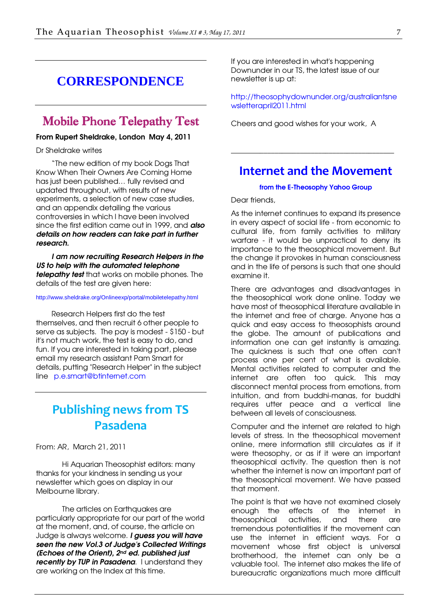## <span id="page-6-0"></span>**CORRESPONDENCE**

## Mobile Phone Telepathy Test

#### From Rupert Sheldrake, London May 4, 2011

Dr Sheldrake writes

 "The new edition of my book Dogs That Know When Their Owners Are Coming Home has just been published… fully revised and updated throughout, with results of new experiments, a selection of new case studies, and an appendix detailing the various controversies in which I have been involved since the first edition came out in 1999, and also details on how readers can take part in further research.

 I am now recruiting Research Helpers in the US to help with the automated telephone telepathy test that works on mobile phones. The details of the test are given here:

#### <http://www.sheldrake.org/Onlineexp/portal/mobiletelepathy.html>

 Research Helpers first do the test themselves, and then recruit 6 other people to serve as subjects. The pay is modest - \$150 - but it's not much work, the test is easy to do, and fun. If you are interested in taking part, please email my research assistant Pam Smart for details, putting "Research Helper" in the subject line [p.e.smart@btinternet.com](mailto:p.e.smart@btinternet.com) 

## Publishing news from TS Pasadena

From: AR, March 21, 2011

 Hi Aquarian Theosophist editors: many thanks for your kindness in sending us your newsletter which goes on display in our Melbourne library.

 The articles on Earthquakes are particularly appropriate for our part of the world at the moment, and, of course, the article on Judge is always welcome. I guess you will have seen the new Vol.3 of Judge's Collected Writings (Echoes of the Orient),  $2^{nd}$  ed. published just recently by TUP in Pasadena. I understand they are working on the Index at this time.

If you are interested in what's happening Downunder in our TS, the latest issue of our newsletter is up at:

[http://theosophydownunder.org/australiantsne](http://theosophydownunder.org/australiantsnewsletterapril2011.html) wsletterapril2011.html

Cheers and good wishes for your work, A

## Internet and the Movement

\_\_\_\_\_\_\_\_\_\_\_\_\_\_\_\_\_\_\_\_\_\_\_\_\_\_\_\_\_\_\_\_\_\_\_\_\_\_\_\_\_\_\_\_\_

#### [from the E-Theosophy Yahoo Group](http://groups.yahoo.com/group/E-THEOSOPHY/)

Dear friends,

As the internet continues to expand its presence in every aspect of social life - from economic to cultural life, from family activities to military warfare - it would be unpractical to deny its importance to the theosophical movement. But the change it provokes in human consciousness and in the life of persons is such that one should examine it.

There are advantages and disadvantages in the theosophical work done online. Today we have most of theosophical literature available in the internet and free of charge. Anyone has a quick and easy access to theosophists around the globe. The amount of publications and information one can get instantly is amazing. The quickness is such that one often can't process one per cent of what is available. Mental activities related to computer and the internet are often too quick. This may disconnect mental process from emotions, from intuition, and from buddhi-manas, for buddhi requires utter peace and a vertical line between all levels of consciousness.

Computer and the internet are related to high levels of stress. In the theosophical movement online, mere information still circulates as if it were theosophy, or as if it were an important theosophical activity. The question then is not whether the internet is now an important part of the theosophical movement. We have passed that moment.

The point is that we have not examined closely enough the effects of the internet in theosophical activities, and there are tremendous potentialities if the movement can use the internet in efficient ways. For a movement whose first object is universal brotherhood, the internet can only be a valuable tool. The internet also makes the life of bureaucratic organizations much more difficult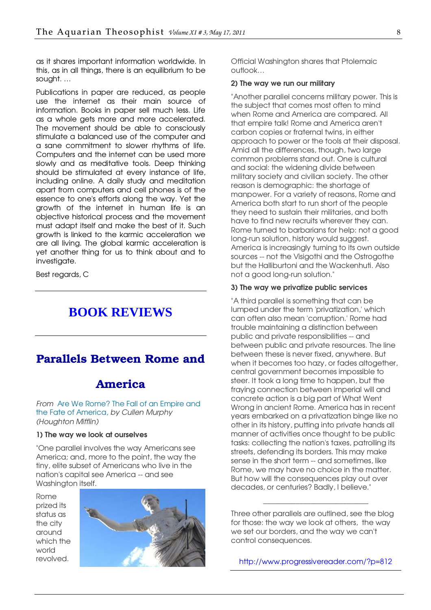<span id="page-7-0"></span>as it shares important information worldwide. In this, as in all things, there is an equilibrium to be sought. …

Publications in paper are reduced, as people use the internet as their main source of information. Books in paper sell much less. Life as a whole gets more and more accelerated. The movement should be able to consciously stimulate a balanced use of the computer and a sane commitment to slower rhythms of life. Computers and the internet can be used more slowly and as meditative tools. Deep thinking should be stimulated at every instance of life, including online. A daily study and meditation apart from computers and cell phones is of the essence to one's efforts along the way. Yet the growth of the internet in human life is an objective historical process and the movement must adapt itself and make the best of it. Such growth is linked to the karmic acceleration we are all living. The global karmic acceleration is yet another thing for us to think about and to investigate.

Best regards, C

## **BOOK REVIEWS**

## Parallels Between Rome and

### America

From [Are We Rome? The Fall of an Empire and](http://www.progressivebookclub.com/pbc2/viewBook.pbc?id=178)  the Fate of America, by Cullen Murphy (Houghton Mifflin)

#### 1) The way we look at ourselves

"One parallel involves the way Americans see America; and, more to the point, the way the tiny, elite subset of Americans who live in the nation's capital see America -- and see Washington itself.

Rome prized its status as the city around which the world revolved.



Official Washington shares that Ptolemaic outlook…

#### 2) The way we run our military

"Another parallel concerns military power. This is the subject that comes most often to mind when Rome and America are compared. All that empire talk! Rome and America aren't carbon copies or fraternal twins, in either approach to power or the tools at their disposal. Amid all the differences, though, two large common problems stand out. One is cultural and social: the widening divide between military society and civilian society. The other reason is demographic: the shortage of manpower. For a variety of reasons, Rome and America both start to run short of the people they need to sustain their militaries, and both have to find new recruits wherever they can. Rome turned to barbarians for help: not a good long-run solution, history would suggest. America is increasingly turning to its own outside sources -- not the Visigothi and the Ostrogothe but the Halliburtoni and the Wackenhuti. Also not a good long-run solution."

#### 3) The way we privatize public services

"A third parallel is something that can be lumped under the term 'privatization,' which can often also mean 'corruption.' Rome had trouble maintaining a distinction between public and private responsibilities -- and between public and private resources. The line between these is never fixed, anywhere. But when it becomes too hazy, or fades altogether, central government becomes impossible to steer. It took a long time to happen, but the fraying connection between imperial will and concrete action is a big part of What Went Wrong in ancient Rome. America has in recent years embarked on a privatization binge like no other in its history, putting into private hands all manner of activities once thought to be public tasks: collecting the nation's taxes, patrolling its streets, defending its borders. This may make sense in the short term -- and sometimes, like Rome, we may have no choice in the matter. But how will the consequences play out over decades, or centuries? Badly, I believe."

Three other parallels are outlined, see the blog for those: the way we look at others, the way we set our borders, and the way we can't control consequences.

\_\_\_\_\_\_\_\_\_\_\_\_\_\_\_\_\_\_\_\_\_\_\_\_\_\_\_\_\_

<http://www.progressivereader.com/?p=812>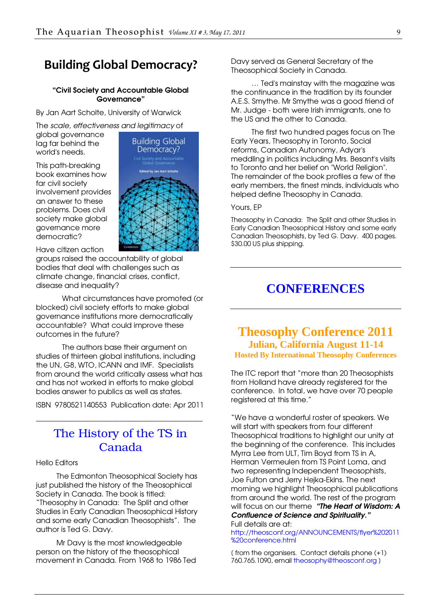## <span id="page-8-0"></span>Building Global Democracy?

#### "Civil Society and Accountable Global Governance"

By Jan Aart Scholte, University of Warwick

The scale, effectiveness and legitimacy of

global governance lag far behind the world's needs.

This path-breaking book examines how far civil society involvement provides an answer to these problems. Does civil society make global governance more democratic?



Have citizen action

groups raised the accountability of global bodies that deal with challenges such as climate change, financial crises, conflict, disease and inequality?

 What circumstances have promoted (or blocked) civil society efforts to make global governance institutions more democratically accountable? What could improve these outcomes in the future?

 The authors base their argument on studies of thirteen global institutions, including the UN, G8, WTO, ICANN and IMF. Specialists from around the world critically assess what has and has not worked in efforts to make global bodies answer to publics as well as states.

ISBN 9780521140553 Publication date: Apr 2011 \_\_\_\_\_\_\_\_\_\_\_\_\_\_\_\_\_\_\_\_\_\_\_\_\_\_\_\_\_\_\_\_\_\_\_\_\_\_\_\_\_\_\_\_\_\_

## The History of the TS in Canada

#### Hello Editors

The Edmonton Theosophical Society has just published the history of the Theosophical Society in Canada. The book is titled: "Theosophy in Canada: The Split and other Studies in Early Canadian Theosophical History and some early Canadian Theosophists". The author is Ted G. Davy.

Mr Davy is the most knowledgeable person on the history of the theosophical movement in Canada. From 1968 to 1986 Ted Davy served as General Secretary of the Theosophical Society in Canada.

… Ted's mainstay with the magazine was the continuance in the tradition by its founder A.E.S. Smythe. Mr Smythe was a good friend of Mr. Judge - both were Irish immigrants, one to the US and the other to Canada.

The first two hundred pages focus on The Early Years, Theosophy in Toronto, Social reforms, Canadian Autonomy, Adyar's meddling in politics including Mrs. Besant's visits to Toronto and her belief on "World Religion". The remainder of the book profiles a few of the early members, the finest minds, individuals who helped define Theosophy in Canada.

#### Yours, EP

Theosophy in Canada: The Split and other Studies in Early Canadian Theosophical History and some early Canadian Theosophists, by Ted G. Davy. 400 pages. \$30.00 US plus shipping.

## **CONFERENCES**

### **Theosophy Conference 2011 Julian, California August 11-14 Hosted By International Theosophy Conferences**

The ITC report that "more than 20 Theosophists from Holland have already registered for the conference. In total, we have over 70 people registered at this time."

"We have a wonderful roster of speakers. We will start with speakers from four different Theosophical traditions to highlight our unity at the beginning of the conference. This includes Myrra Lee from ULT, Tim Boyd from TS in A, Herman Vermeulen from TS Point Loma, and two representing Independent Theosophists, Joe Fulton and Jerry Hejka-Ekins. The next morning we highlight Theosophical publications from around the world. The rest of the program will focus on our theme "The Heart of Wisdom: A Confluence of Science and Spirituality." Full details are at:

[http://theosconf.org/ANNOUNCEMENTS/flyer%202011](http://theosconf.org/ANNOUNCEMENTS/flyer 2011 conference.html) %20conference.html

[ from the organisers. Contact details phone (+1) 760.765.1090, email [theosophy@theosconf.org \]](mailto:theosophy@theosconf.org)